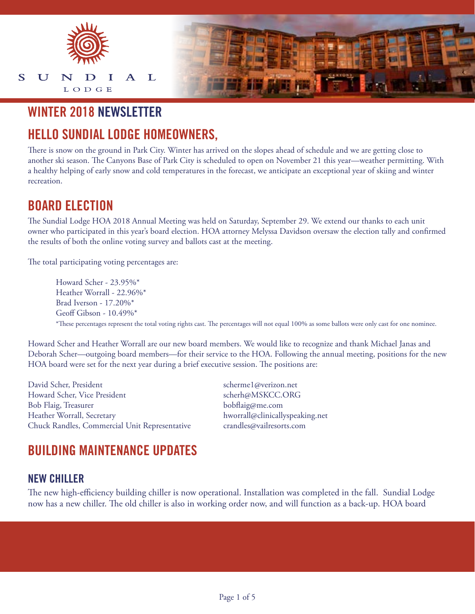

## **WINTER 2018 NEWSLETTER**

# **HELLO SUNDIAL LODGE HOMEOWNERS,**

There is snow on the ground in Park City. Winter has arrived on the slopes ahead of schedule and we are getting close to another ski season. The Canyons Base of Park City is scheduled to open on November 21 this year—weather permitting. With a healthy helping of early snow and cold temperatures in the forecast, we anticipate an exceptional year of skiing and winter recreation.

## **BOARD ELECTION**

The Sundial Lodge HOA 2018 Annual Meeting was held on Saturday, September 29. We extend our thanks to each unit owner who participated in this year's board election. HOA attorney Melyssa Davidson oversaw the election tally and confirmed the results of both the online voting survey and ballots cast at the meeting.

The total participating voting percentages are:

Howard Scher - 23.95%\* Heather Worrall - 22.96%\* Brad Iverson - 17.20%\* Geoff Gibson - 10.49%\* \*These percentages represent the total voting rights cast. The percentages will not equal 100% as some ballots were only cast for one nominee.

Howard Scher and Heather Worrall are our new board members. We would like to recognize and thank Michael Janas and Deborah Scher—outgoing board members—for their service to the HOA. Following the annual meeting, positions for the new HOA board were set for the next year during a brief executive session. The positions are:

David Scher, President scherme1@verizon.net Howard Scher, Vice President schere scherh@MSKCC.ORG Bob Flaig, Treasurer bobflaig@me.com Heather Worrall, Secretary hworrall@clinicallyspeaking.net Chuck Randles, Commercial Unit Representative crandles@vailresorts.com

# **BUILDING MAINTENANCE UPDATES**

#### **NEW CHILLER**

The new high-efficiency building chiller is now operational. Installation was completed in the fall. Sundial Lodge now has a new chiller. The old chiller is also in working order now, and will function as a back-up. HOA board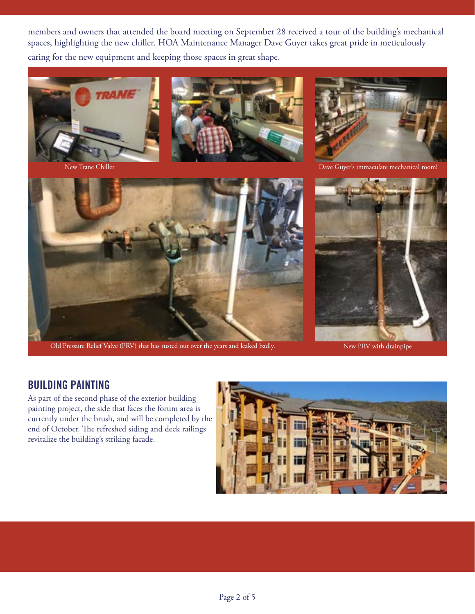members and owners that attended the board meeting on September 28 received a tour of the building's mechanical spaces, highlighting the new chiller. HOA Maintenance Manager Dave Guyer takes great pride in meticulously caring for the new equipment and keeping those spaces in great shape.





New Trane Chiller



Old Pressure Relief Valve (PRV) that has rusted out over the years and leaked badly. New PRV with drainpipe



Dave Guyer's immaculate mechanical room!



#### **BUILDING PAINTING**

As part of the second phase of the exterior building painting project, the side that faces the forum area is currently under the brush, and will be completed by the end of October. The refreshed siding and deck railings revitalize the building's striking facade.

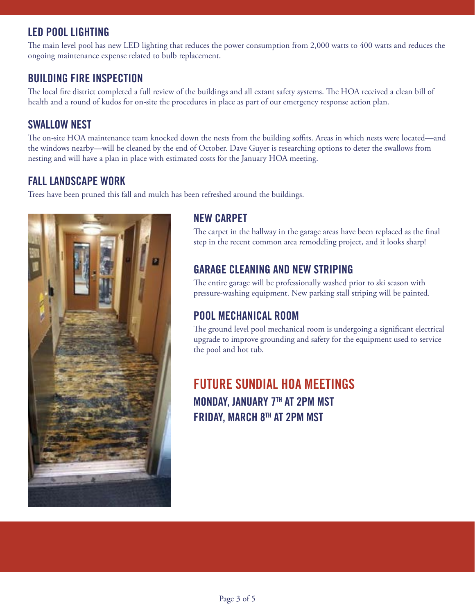## **LED POOL LIGHTING**

The main level pool has new LED lighting that reduces the power consumption from 2,000 watts to 400 watts and reduces the ongoing maintenance expense related to bulb replacement.

## **BUILDING FIRE INSPECTION**

The local fire district completed a full review of the buildings and all extant safety systems. The HOA received a clean bill of health and a round of kudos for on-site the procedures in place as part of our emergency response action plan.

## **SWALLOW NEST**

The on-site HOA maintenance team knocked down the nests from the building soffits. Areas in which nests were located—and the windows nearby—will be cleaned by the end of October. Dave Guyer is researching options to deter the swallows from nesting and will have a plan in place with estimated costs for the January HOA meeting.

### **FALL LANDSCAPE WORK**

Trees have been pruned this fall and mulch has been refreshed around the buildings.



## **NEW CARPET**

The carpet in the hallway in the garage areas have been replaced as the final step in the recent common area remodeling project, and it looks sharp!

## **GARAGE CLEANING AND NEW STRIPING**

The entire garage will be professionally washed prior to ski season with pressure-washing equipment. New parking stall striping will be painted.

## **POOL MECHANICAL ROOM**

The ground level pool mechanical room is undergoing a significant electrical upgrade to improve grounding and safety for the equipment used to service the pool and hot tub.

# **FUTURE SUNDIAL HOA MEETINGS MONDAY, JANUARY 7TH AT 2PM MST FRIDAY, MARCH 8TH AT 2PM MST**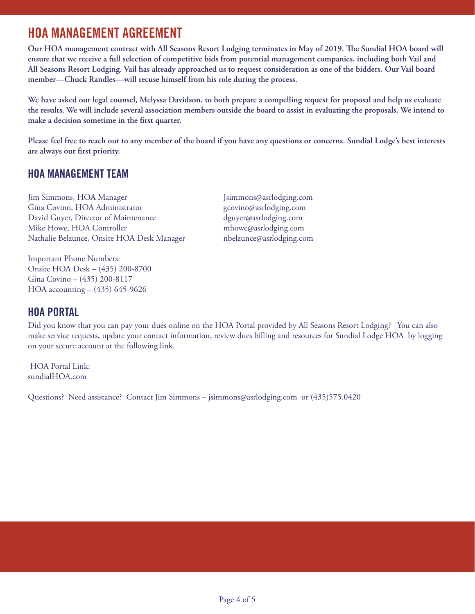## **HOA MANAGEMENT AGREEMENT**

**Our HOA management contract with All Seasons Resort Lodging terminates in May of 2019. The Sundial HOA board will ensure that we receive a full selection of competitive bids from potential management companies, including both Vail and All Seasons Resort Lodging. Vail has already approached us to request consideration as one of the bidders. Our Vail board member—Chuck Randles—will recuse himself from his role during the process.**

**We have asked our legal counsel, Melyssa Davidson, to both prepare a compelling request for proposal and help us evaluate the results. We will include several association members outside the board to assist in evaluating the proposals. We intend to make a decision sometime in the first quarter.**

**Please feel free to reach out to any member of the board if you have any questions or concerns. Sundial Lodge's best interests are always our first priority.**

### **HOA MANAGEMENT TEAM**

Jim Simmons, HOA Manager Jsimmons@asrlodging.com Gina Covino, HOA Administrator gcovino@asrlodging.com David Guyer, Director of Maintenance dguyer@asrlodging.com Mike Howe, HOA Controller mhowe@asrlodging.com Nathalie Belzunce, Onsite HOA Desk Manager nbelzunce@asrlodging.com

Important Phone Numbers: Onsite HOA Desk – (435) 200-8700 Gina Covino – (435) 200-8117 HOA accounting – (435) 645-9626

## **HOA PORTAL**

Did you know that you can pay your dues online on the HOA Portal provided by All Seasons Resort Lodging? You can also make service requests, update your contact information, review dues billing and resources for Sundial Lodge HOA by logging on your secure account at the following link.

 HOA Portal Link: sundialHOA.com

Questions? Need assistance? Contact Jim Simmons – jsimmons@asrlodging.com or (435)575.0420